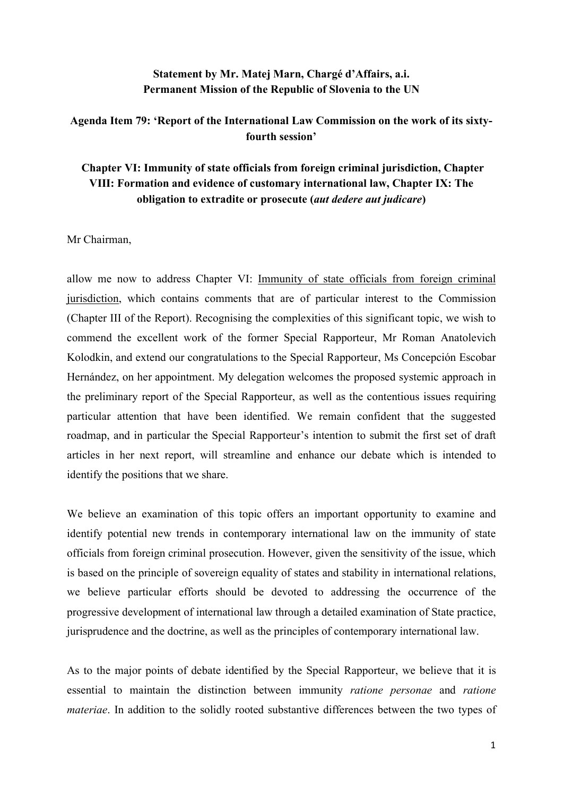## **Statement by Mr. Matej Marn, Chargé d'Affairs, a.i. Permanent Mission of the Republic of Slovenia to the UN**

## **Agenda Item 79: 'Report of the International Law Commission on the work of its sixtyfourth session'**

# **Chapter VI: Immunity of state officials from foreign criminal jurisdiction, Chapter VIII: Formation and evidence of customary international law, Chapter IX: The obligation to extradite or prosecute (***aut dedere aut judicare***)**

Mr Chairman,

allow me now to address Chapter VI: Immunity of state officials from foreign criminal jurisdiction, which contains comments that are of particular interest to the Commission (Chapter III of the Report). Recognising the complexities of this significant topic, we wish to commend the excellent work of the former Special Rapporteur, Mr Roman Anatolevich Kolodkin, and extend our congratulations to the Special Rapporteur, Ms Concepción Escobar Hernández, on her appointment. My delegation welcomes the proposed systemic approach in the preliminary report of the Special Rapporteur, as well as the contentious issues requiring particular attention that have been identified. We remain confident that the suggested roadmap, and in particular the Special Rapporteur's intention to submit the first set of draft articles in her next report, will streamline and enhance our debate which is intended to identify the positions that we share.

We believe an examination of this topic offers an important opportunity to examine and identify potential new trends in contemporary international law on the immunity of state officials from foreign criminal prosecution. However, given the sensitivity of the issue, which is based on the principle of sovereign equality of states and stability in international relations, we believe particular efforts should be devoted to addressing the occurrence of the progressive development of international law through a detailed examination of State practice, jurisprudence and the doctrine, as well as the principles of contemporary international law.

As to the major points of debate identified by the Special Rapporteur, we believe that it is essential to maintain the distinction between immunity *ratione personae* and *ratione materiae*. In addition to the solidly rooted substantive differences between the two types of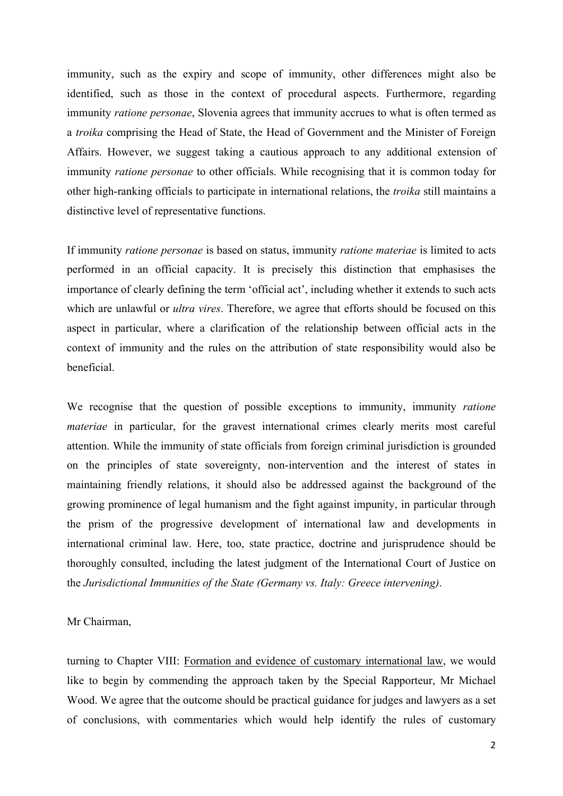immunity, such as the expiry and scope of immunity, other differences might also be identified, such as those in the context of procedural aspects. Furthermore, regarding immunity *ratione personae*, Slovenia agrees that immunity accrues to what is often termed as a *troika* comprising the Head of State, the Head of Government and the Minister of Foreign Affairs. However, we suggest taking a cautious approach to any additional extension of immunity *ratione personae* to other officials. While recognising that it is common today for other high-ranking officials to participate in international relations, the *troika* still maintains a distinctive level of representative functions.

If immunity *ratione personae* is based on status, immunity *ratione materiae* is limited to acts performed in an official capacity. It is precisely this distinction that emphasises the importance of clearly defining the term 'official act', including whether it extends to such acts which are unlawful or *ultra vires*. Therefore, we agree that efforts should be focused on this aspect in particular, where a clarification of the relationship between official acts in the context of immunity and the rules on the attribution of state responsibility would also be beneficial.

We recognise that the question of possible exceptions to immunity, immunity *ratione materiae* in particular, for the gravest international crimes clearly merits most careful attention. While the immunity of state officials from foreign criminal jurisdiction is grounded on the principles of state sovereignty, non-intervention and the interest of states in maintaining friendly relations, it should also be addressed against the background of the growing prominence of legal humanism and the fight against impunity, in particular through the prism of the progressive development of international law and developments in international criminal law. Here, too, state practice, doctrine and jurisprudence should be thoroughly consulted, including the latest judgment of the International Court of Justice on the *Jurisdictional Immunities of the State (Germany vs. Italy: Greece intervening)*.

#### Mr Chairman,

turning to Chapter VIII: Formation and evidence of customary international law, we would like to begin by commending the approach taken by the Special Rapporteur, Mr Michael Wood. We agree that the outcome should be practical guidance for judges and lawyers as a set of conclusions, with commentaries which would help identify the rules of customary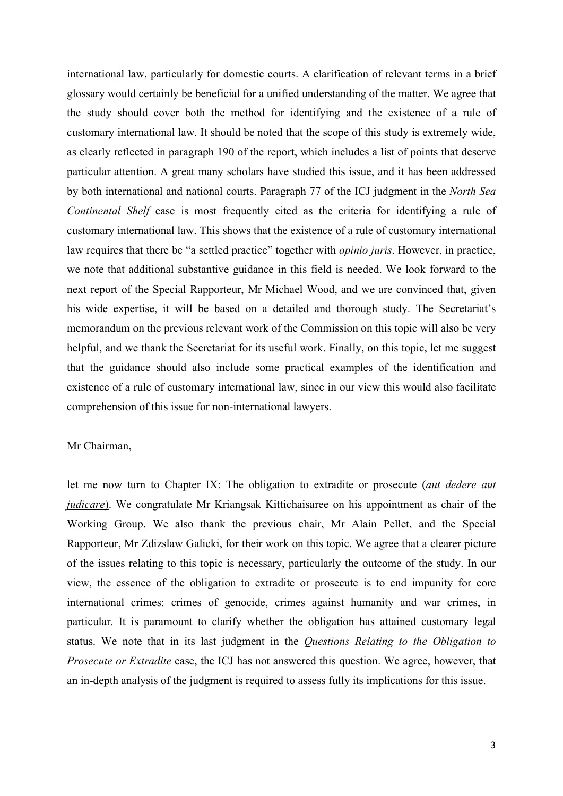international law, particularly for domestic courts. A clarification of relevant terms in a brief glossary would certainly be beneficial for a unified understanding of the matter. We agree that the study should cover both the method for identifying and the existence of a rule of customary international law. It should be noted that the scope of this study is extremely wide, as clearly reflected in paragraph 190 of the report, which includes a list of points that deserve particular attention. A great many scholars have studied this issue, and it has been addressed by both international and national courts. Paragraph 77 of the ICJ judgment in the *North Sea Continental Shelf* case is most frequently cited as the criteria for identifying a rule of customary international law. This shows that the existence of a rule of customary international law requires that there be "a settled practice" together with *opinio juris*. However, in practice, we note that additional substantive guidance in this field is needed. We look forward to the next report of the Special Rapporteur, Mr Michael Wood, and we are convinced that, given his wide expertise, it will be based on a detailed and thorough study. The Secretariat's memorandum on the previous relevant work of the Commission on this topic will also be very helpful, and we thank the Secretariat for its useful work. Finally, on this topic, let me suggest that the guidance should also include some practical examples of the identification and existence of a rule of customary international law, since in our view this would also facilitate comprehension of this issue for non-international lawyers.

### Mr Chairman,

let me now turn to Chapter IX: The obligation to extradite or prosecute (*aut dedere aut judicare*). We congratulate Mr Kriangsak Kittichaisaree on his appointment as chair of the Working Group. We also thank the previous chair, Mr Alain Pellet, and the Special Rapporteur, Mr Zdizslaw Galicki, for their work on this topic. We agree that a clearer picture of the issues relating to this topic is necessary, particularly the outcome of the study. In our view, the essence of the obligation to extradite or prosecute is to end impunity for core international crimes: crimes of genocide, crimes against humanity and war crimes, in particular. It is paramount to clarify whether the obligation has attained customary legal status. We note that in its last judgment in the *Questions Relating to the Obligation to Prosecute or Extradite* case, the ICJ has not answered this question. We agree, however, that an in-depth analysis of the judgment is required to assess fully its implications for this issue.